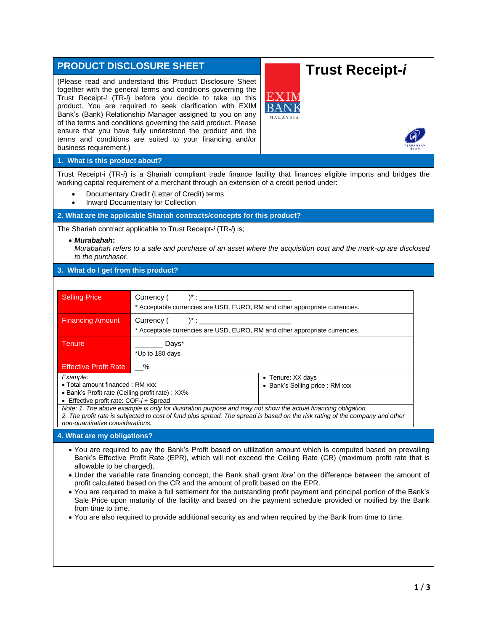| <b>PRODUCT DISCLOSURE SHEET</b>                                                                                                                                                |                                                                                                                                                                                                                                                                                                                                                                                                                                                                                                            | <b>Trust Receipt-i</b>                                                                                                                                                                                                                                                                                                                           |  |
|--------------------------------------------------------------------------------------------------------------------------------------------------------------------------------|------------------------------------------------------------------------------------------------------------------------------------------------------------------------------------------------------------------------------------------------------------------------------------------------------------------------------------------------------------------------------------------------------------------------------------------------------------------------------------------------------------|--------------------------------------------------------------------------------------------------------------------------------------------------------------------------------------------------------------------------------------------------------------------------------------------------------------------------------------------------|--|
| business requirement.)                                                                                                                                                         | (Please read and understand this Product Disclosure Sheet<br>together with the general terms and conditions governing the<br>Trust Receipt-i (TR-i) before you decide to take up this<br>product. You are required to seek clarification with EXIM<br>Bank's (Bank) Relationship Manager assigned to you on any<br>of the terms and conditions governing the said product. Please<br>ensure that you have fully understood the product and the<br>terms and conditions are suited to your financing and/or | EXIN                                                                                                                                                                                                                                                                                                                                             |  |
| 1. What is this product about?                                                                                                                                                 |                                                                                                                                                                                                                                                                                                                                                                                                                                                                                                            |                                                                                                                                                                                                                                                                                                                                                  |  |
| $\bullet$                                                                                                                                                                      | working capital requirement of a merchant through an extension of a credit period under:<br>Documentary Credit (Letter of Credit) terms<br>Inward Documentary for Collection                                                                                                                                                                                                                                                                                                                               | Trust Receipt-i (TR-i) is a Shariah compliant trade finance facility that finances eligible imports and bridges the                                                                                                                                                                                                                              |  |
| 2. What are the applicable Shariah contracts/concepts for this product?                                                                                                        |                                                                                                                                                                                                                                                                                                                                                                                                                                                                                                            |                                                                                                                                                                                                                                                                                                                                                  |  |
| The Shariah contract applicable to Trust Receipt-i (TR-i) is;                                                                                                                  |                                                                                                                                                                                                                                                                                                                                                                                                                                                                                                            |                                                                                                                                                                                                                                                                                                                                                  |  |
| • Murabahah:<br>to the purchaser.                                                                                                                                              |                                                                                                                                                                                                                                                                                                                                                                                                                                                                                                            | Murabahah refers to a sale and purchase of an asset where the acquisition cost and the mark-up are disclosed                                                                                                                                                                                                                                     |  |
| 3. What do I get from this product?                                                                                                                                            |                                                                                                                                                                                                                                                                                                                                                                                                                                                                                                            |                                                                                                                                                                                                                                                                                                                                                  |  |
|                                                                                                                                                                                |                                                                                                                                                                                                                                                                                                                                                                                                                                                                                                            |                                                                                                                                                                                                                                                                                                                                                  |  |
| <b>Selling Price</b>                                                                                                                                                           | $)^{*}$ : $\_$<br>Currency (<br>* Acceptable currencies are USD, EURO, RM and other appropriate currencies.                                                                                                                                                                                                                                                                                                                                                                                                |                                                                                                                                                                                                                                                                                                                                                  |  |
| <b>Financing Amount</b>                                                                                                                                                        | $)^{*}$ : $\_$<br>Currency (                                                                                                                                                                                                                                                                                                                                                                                                                                                                               |                                                                                                                                                                                                                                                                                                                                                  |  |
|                                                                                                                                                                                | * Acceptable currencies are USD, EURO, RM and other appropriate currencies.                                                                                                                                                                                                                                                                                                                                                                                                                                |                                                                                                                                                                                                                                                                                                                                                  |  |
| <b>Tenure</b>                                                                                                                                                                  | Days*<br>*Up to 180 days                                                                                                                                                                                                                                                                                                                                                                                                                                                                                   |                                                                                                                                                                                                                                                                                                                                                  |  |
| <b>Effective Profit Rate</b>                                                                                                                                                   | %                                                                                                                                                                                                                                                                                                                                                                                                                                                                                                          |                                                                                                                                                                                                                                                                                                                                                  |  |
| Example:<br>• Total amount financed: RM xxx<br>• Bank's Profit rate (Ceiling profit rate) : XX%<br>• Effective profit rate: COF-i + Spread<br>non-quantitative considerations. | Note: 1. The above example is only for illustration purpose and may not show the actual financing obligation.                                                                                                                                                                                                                                                                                                                                                                                              | • Tenure: XX days<br>• Bank's Selling price : RM xxx<br>2. The profit rate is subjected to cost of fund plus spread. The spread is based on the risk rating of the company and other                                                                                                                                                             |  |
| 4. What are my obligations?                                                                                                                                                    |                                                                                                                                                                                                                                                                                                                                                                                                                                                                                                            |                                                                                                                                                                                                                                                                                                                                                  |  |
| allowable to be charged).                                                                                                                                                      | profit calculated based on the CR and the amount of profit based on the EPR.                                                                                                                                                                                                                                                                                                                                                                                                                               | • You are required to pay the Bank's Profit based on utilization amount which is computed based on prevailing<br>Bank's Effective Profit Rate (EPR), which will not exceed the Ceiling Rate (CR) (maximum profit rate that is<br>• Under the variable rate financing concept, the Bank shall grant ibra' on the difference between the amount of |  |

- You are required to make a full settlement for the outstanding profit payment and principal portion of the Bank's Sale Price upon maturity of the facility and based on the payment schedule provided or notified by the Bank from time to time.
- You are also required to provide additional security as and when required by the Bank from time to time.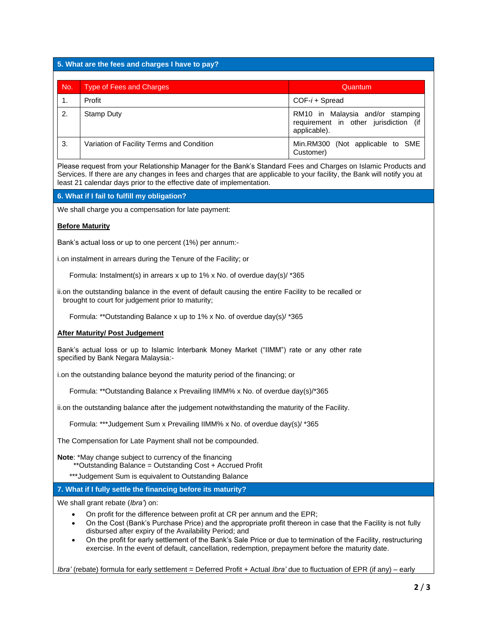# **5. What are the fees and charges I have to pay?**

| No. | <b>Type of Fees and Charges</b>           | Quantum                                                                                   |
|-----|-------------------------------------------|-------------------------------------------------------------------------------------------|
|     | Profit                                    | $COF-i + Spread$                                                                          |
| 2.  | Stamp Duty                                | RM10 in Malaysia and/or stamping<br>requirement in other jurisdiction (if<br>applicable). |
| 3.  | Variation of Facility Terms and Condition | Min.RM300 (Not applicable to SME<br>Customer)                                             |

Please request from your Relationship Manager for the Bank's Standard Fees and Charges on Islamic Products and Services. If there are any changes in fees and charges that are applicable to your facility, the Bank will notify you at least 21 calendar days prior to the effective date of implementation.

### **6. What if I fail to fulfill my obligation?**

We shall charge you a compensation for late payment:

# **Before Maturity**

Bank's actual loss or up to one percent (1%) per annum:-

i.on instalment in arrears during the Tenure of the Facility; or

Formula: Instalment(s) in arrears x up to 1% x No. of overdue day(s)/ \*365

ii.on the outstanding balance in the event of default causing the entire Facility to be recalled or brought to court for judgement prior to maturity;

Formula: \*\*Outstanding Balance x up to 1% x No. of overdue day(s)/ \*365

# **After Maturity/ Post Judgement**

Bank's actual loss or up to Islamic Interbank Money Market ("IIMM") rate or any other rate specified by Bank Negara Malaysia:-

i.on the outstanding balance beyond the maturity period of the financing; or

Formula: \*\*Outstanding Balance x Prevailing IIMM% x No. of overdue day(s)/\*365

ii.on the outstanding balance after the judgement notwithstanding the maturity of the Facility.

Formula: \*\*\*Judgement Sum x Prevailing IIMM% x No. of overdue day(s)/ \*365

The Compensation for Late Payment shall not be compounded.

**Note**: \*May change subject to currency of the financing

- \*\*Outstanding Balance = Outstanding Cost + Accrued Profit
- \*\*\*Judgement Sum is equivalent to Outstanding Balance

**7. What if I fully settle the financing before its maturity?**

We shall grant rebate (*Ibra'*) on:

- On profit for the difference between profit at CR per annum and the EPR;
- On the Cost (Bank's Purchase Price) and the appropriate profit thereon in case that the Facility is not fully disbursed after expiry of the Availability Period; and
- On the profit for early settlement of the Bank's Sale Price or due to termination of the Facility, restructuring exercise. In the event of default, cancellation, redemption, prepayment before the maturity date.

*Ibra'* (rebate) formula for early settlement = Deferred Profit + Actual *Ibra'* due to fluctuation of EPR (if any) – early